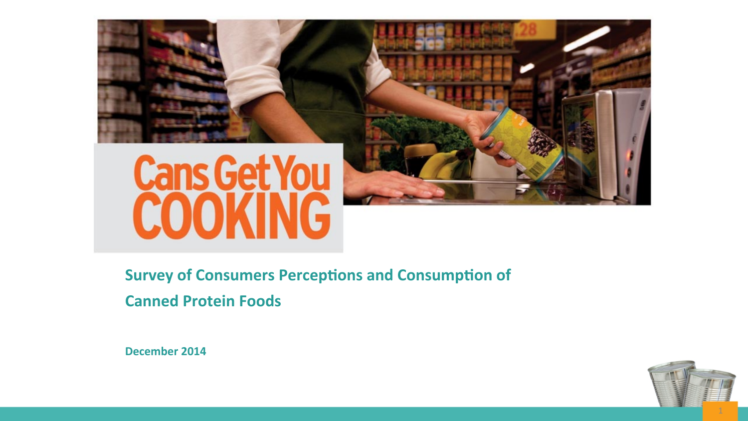

**Survey of Consumers Perceptions and Consumption of Canned Protein Foods** 

**December 2014** 

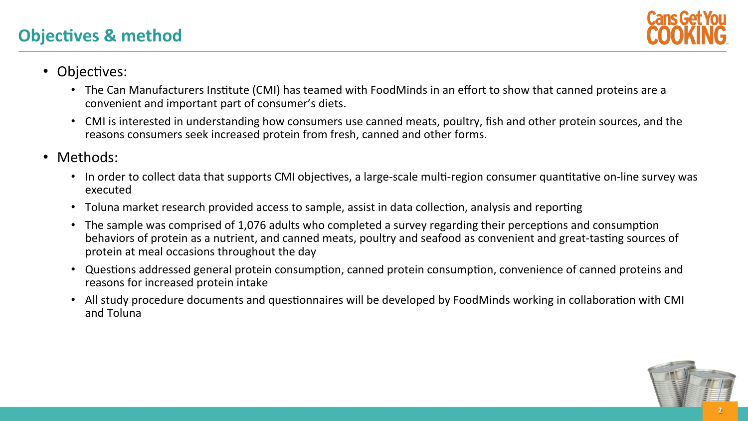### **Objectives & method**



- Objectives:
	- The Can Manufacturers Institute (CMI) has teamed with FoodMinds in an effort to show that canned proteins are a convenient and important part of consumer's diets.
	- CMI is interested in understanding how consumers use canned meats, poultry, fish and other protein sources, and the reasons consumers seek increased protein from fresh, canned and other forms.
- Methods:
	- In order to collect data that supports CMI objectives, a large-scale multi-region consumer quantitative on-line survey was executed
	- Toluna market research provided access to sample, assist in data collection, analysis and reporting
	- The sample was comprised of 1,076 adults who completed a survey regarding their perceptions and consumption behaviors of protein as a nutrient, and canned meats, poultry and seafood as convenient and great-tasting sources of protein at meal occasions throughout the day
	- Questions addressed general protein consumption, canned protein consumption, convenience of canned proteins and reasons for increased protein intake
	- All study procedure documents and questionnaires will be developed by FoodMinds working in collaboration with CMI and Toluna

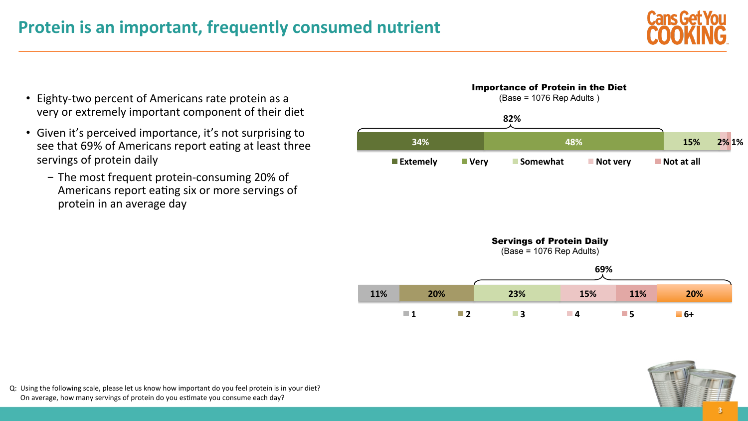

- Eighty-two percent of Americans rate protein as a very or extremely important component of their diet
- Given it's perceived importance, it's not surprising to see that 69% of Americans report eating at least three servings of protein daily
	- The most frequent protein-consuming 20% of Americans report eating six or more servings of protein in an average day





Q: Using the following scale, please let us know how important do you feel protein is in your diet? On average, how many servings of protein do you estimate you consume each day?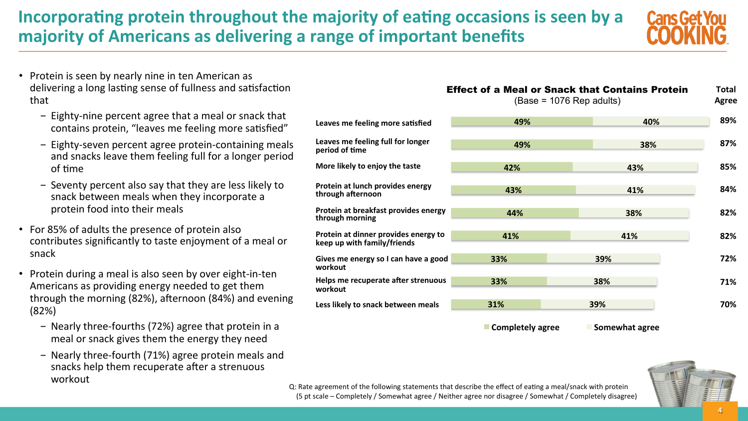# **Incorporating protein throughout the majority of eating occasions is seen by a majority of Americans as delivering a range of important benefits**



- Protein is seen by nearly nine in ten American as delivering a long lasting sense of fullness and satisfaction that
	- $-$  Eighty-nine percent agree that a meal or snack that contains protein, "leaves me feeling more satisfied"
	- Eighty-seven percent agree protein-containing meals and snacks leave them feeling full for a longer period of time
	- Seventy percent also say that they are less likely to snack between meals when they incorporate a protein food into their meals
- For 85% of adults the presence of protein also contributes significantly to taste enjoyment of a meal or snack
- Protein during a meal is also seen by over eight-in-ten Americans as providing energy needed to get them through the morning  $(82%)$ , afternoon  $(84%)$  and evening (82%)
	- Nearly three-fourths (72%) agree that protein in a meal or snack gives them the energy they need
	- Nearly three-fourth (71%) agree protein meals and snacks help them recuperate after a strenuous workout

|                                                                     | <b>Effect of a Meal or Snack that Contains Protein</b><br>$(Base = 1076 Rep adults)$ |     |     |
|---------------------------------------------------------------------|--------------------------------------------------------------------------------------|-----|-----|
| Leaves me feeling more satisfied                                    | 49%                                                                                  | 40% | 89% |
| Leaves me feeling full for longer<br>period of time                 | 49%                                                                                  | 38% | 87% |
| More likely to enjoy the taste                                      | 42%                                                                                  | 43% | 85% |
| Protein at lunch provides energy<br>through afternoon               | 43%                                                                                  | 41% | 84% |
| Protein at breakfast provides energy<br>through morning             | 44%                                                                                  | 38% | 82% |
| Protein at dinner provides energy to<br>keep up with family/friends | 41%                                                                                  | 41% | 82% |
| Gives me energy so I can have a good<br>workout                     | 33%                                                                                  | 39% | 72% |
| Helps me recuperate after strenuous<br>workout                      | 33%                                                                                  | 38% | 71% |
| Less likely to snack between meals                                  | 31%                                                                                  | 39% | 70% |

**Exampletely agree Somewhat agree** 



Q: Rate agreement of the following statements that describe the effect of eating a meal/snack with protein (5 pt scale – Completely / Somewhat agree / Neither agree nor disagree / Somewhat / Completely disagree)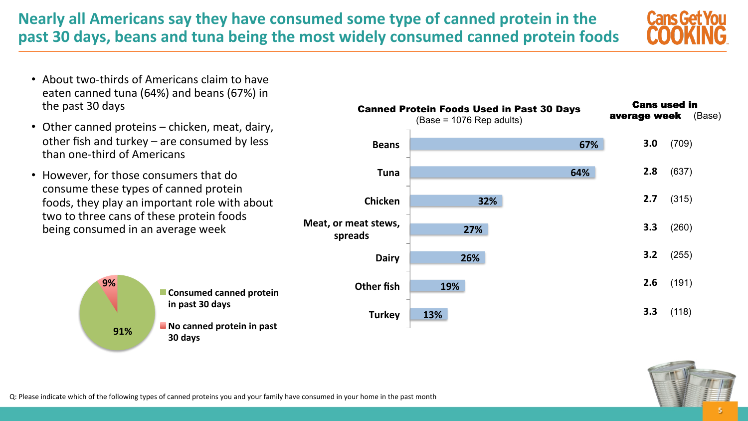**Nearly all Americans say they have consumed some type of canned protein in the** past 30 days, beans and tuna being the most widely consumed canned protein foods



- About two-thirds of Americans claim to have eaten canned tuna (64%) and beans (67%) in the past 30 days
- Other canned proteins  $-$  chicken, meat, dairy, other fish and turkey  $-$  are consumed by less than one-third of Americans
- However, for those consumers that do consume these types of canned protein foods, they play an important role with about two to three cans of these protein foods being consumed in an average week

**91%\$ 9%\$ E** Consumed canned protein in past 30 days **No canned protein in past 30\$days\$**

|                                 | $(Base = 1076 Rep adults)$ | <b>Canned Protein Foods Used in Past 30 Days</b> | <b>Cans used in</b><br>average week | (Base) |
|---------------------------------|----------------------------|--------------------------------------------------|-------------------------------------|--------|
| <b>Beans</b>                    |                            | 67%                                              | 3.0                                 | (709)  |
| <b>Tuna</b>                     |                            | 64%                                              | 2.8                                 | (637)  |
| <b>Chicken</b>                  |                            | 32%                                              | 2.7                                 | (315)  |
| Meat, or meat stews,<br>spreads | 27%                        |                                                  | 3.3                                 | (260)  |
| <b>Dairy</b>                    | 26%                        |                                                  | 3.2                                 | (255)  |
| <b>Other fish</b>               | 19%                        |                                                  | 2.6                                 | (191)  |
| <b>Turkey</b>                   | 13%                        |                                                  | 3.3                                 | (118)  |



Q: Please indicate which of the following types of canned proteins you and your family have consumed in your home in the past month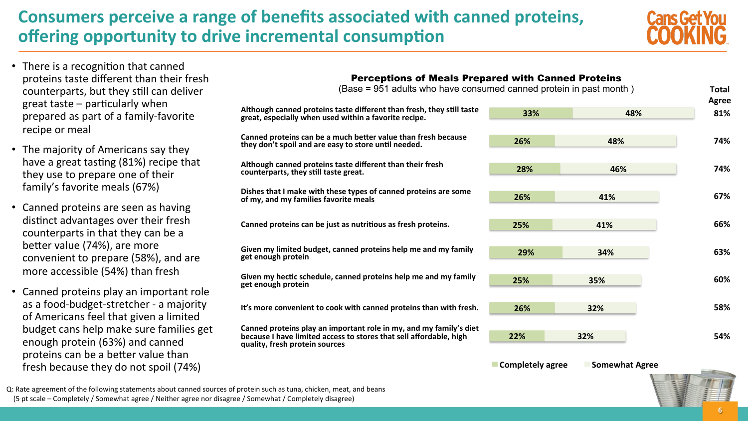# **Consumers perceive a range of benefits associated with canned proteins, offering opportunity to drive incremental consumption**

**quality, fresh protein sources** 



- There is a recognition that canned proteins taste different than their fresh counterparts, but they still can deliver great taste  $-$  particularly when prepared as part of a family-favorite recipe or meal
- The majority of Americans say they have a great tasting  $(81%)$  recipe that they use to prepare one of their family's favorite meals (67%)
- Canned proteins are seen as having distinct advantages over their fresh counterparts in that they can be a better value (74%), are more convenient to prepare (58%), and are more accessible (54%) than fresh
- Canned proteins play an important role as a food-budget-stretcher - a majority of Americans feel that given a limited budget cans help make sure families get enough protein (63%) and canned proteins can be a better value than fresh because they do not spoil (74%)

| <b>Perceptions of Meals Prepared with Canned Proteins</b>                                                                                |     |     |     |                     |
|------------------------------------------------------------------------------------------------------------------------------------------|-----|-----|-----|---------------------|
| (Base = 951 adults who have consumed canned protein in past month)                                                                       |     |     |     | Total               |
| Although canned proteins taste different than fresh, they still taste<br>great, especially when used within a favorite recipe.           | 33% |     | 48% | <b>Agree</b><br>81% |
| Canned proteins can be a much better value than fresh because<br>they don't spoil and are easy to store until needed.                    | 26% | 48% |     | 74%                 |
| Although canned proteins taste different than their fresh<br>counterparts, they still taste great.                                       | 28% | 46% |     | 74%                 |
| Dishes that I make with these types of canned proteins are some<br>of my, and my families favorite meals                                 | 26% | 41% |     | 67%                 |
| Canned proteins can be just as nutritious as fresh proteins.                                                                             | 25% | 41% |     | 66%                 |
| Given my limited budget, canned proteins help me and my family<br>get enough protein                                                     | 29% | 34% |     | 63%                 |
| Given my hectic schedule, canned proteins help me and my family<br>get enough protein                                                    | 25% | 35% |     | 60%                 |
| It's more convenient to cook with canned proteins than with fresh.                                                                       | 26% | 32% |     | 58%                 |
| Canned proteins play an important role in my, and my family's diet<br>because I have limited access to stores that sell affordable, high | 22% | 32% |     | 54%                 |

**Exampletely agree # Somewhat Agree** 

Q: Rate agreement of the following statements about canned sources of protein such as tuna, chicken, meat, and beans (5 pt scale – Completely / Somewhat agree / Neither agree nor disagree / Somewhat / Completely disagree)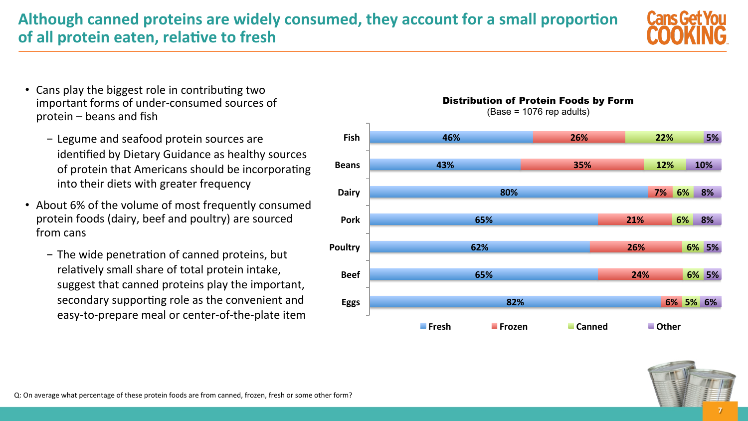Q: On average what percentage of these protein foods are from canned, frozen, fresh or some other form?

### Although canned proteins are widely consumed, they account for a small proportion of all protein eaten, relative to fresh

- Cans play the biggest role in contributing two important forms of under-consumed sources of  $protein$  – beans and fish
	- Legume and seafood protein sources are identified by Dietary Guidance as healthy sources of protein that Americans should be incorporating into their diets with greater frequency
- About 6% of the volume of most frequently consumed protein foods (dairy, beef and poultry) are sourced from cans
	- $-$  The wide penetration of canned proteins, but relatively small share of total protein intake, suggest that canned proteins play the important, secondary supporting role as the convenient and easy-to-prepare meal or center-of-the-plate item

#### Distribution of Protein Foods by Form

(Base = 1076 rep adults)





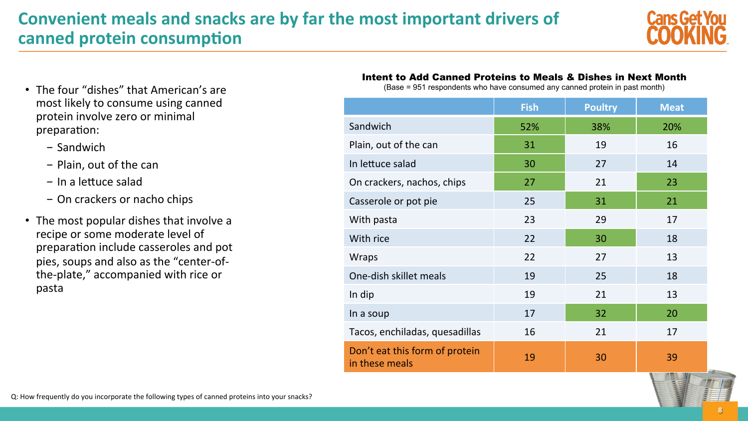# **Convenient meals and snacks are by far the most important drivers of canned protein consumption**



- The four "dishes" that American's are most likely to consume using canned protein involve zero or minimal preparation:
	- Sandwich
	- Plain, out of the can
	- $-$  In a lettuce salad
	- On crackers or nacho chips
- The most popular dishes that involve a recipe or some moderate level of preparation include casseroles and pot pies, soups and also as the "center-ofthe-plate," accompanied with rice or pasta

#### Intent to Add Canned Proteins to Meals & Dishes in Next Month

(Base = 951 respondents who have consumed any canned protein in past month)

|                                                  | <b>Fish</b> | <b>Poultry</b> | <b>Meat</b> |
|--------------------------------------------------|-------------|----------------|-------------|
| Sandwich                                         | 52%         | 38%            | 20%         |
| Plain, out of the can                            | 31          | 19             | 16          |
| In lettuce salad                                 | 30          | 27             | 14          |
| On crackers, nachos, chips                       | 27          | 21             | 23          |
| Casserole or pot pie                             | 25          | 31             | 21          |
| With pasta                                       | 23          | 29             | 17          |
| With rice                                        | 22          | 30             | 18          |
| <b>Wraps</b>                                     | 22          | 27             | 13          |
| One-dish skillet meals                           | 19          | 25             | 18          |
| In dip                                           | 19          | 21             | 13          |
| In a soup                                        | 17          | 32             | 20          |
| Tacos, enchiladas, quesadillas                   | 16          | 21             | 17          |
| Don't eat this form of protein<br>in these meals | 19          | 30             | 39          |